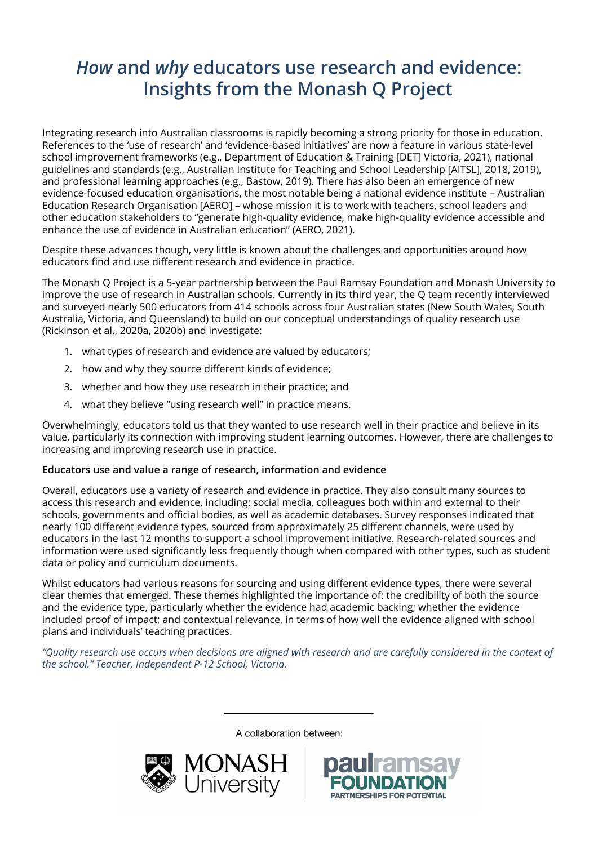# *How* **and** *why* **educators use research and evidence: Insights from the Monash Q Project**

Integrating research into Australian classrooms is rapidly becoming a strong priority for those in education. References to the 'use of research' and 'evidence-based initiatives' are now a feature in various state-level school improvement frameworks (e.g., Department of Education & Training [DET] Victoria, 2021), national guidelines and standards (e.g., Australian Institute for Teaching and School Leadership [AITSL], 2018, 2019), and professional learning approaches (e.g., Bastow, 2019). There has also been an emergence of new evidence-focused education organisations, the most notable being a national evidence institute – Australian Education Research Organisation [AERO] – whose mission it is to work with teachers, school leaders and other education stakeholders to "generate high-quality evidence, make high-quality evidence accessible and enhance the use of evidence in Australian education" (AERO, 2021).

Despite these advances though, very little is known about the challenges and opportunities around how educators find and use different research and evidence in practice.

The Monash Q Project is a 5-year partnership between the Paul Ramsay Foundation and Monash University to improve the use of research in Australian schools. Currently in its third year, the Q team recently interviewed and surveyed nearly 500 educators from 414 schools across four Australian states (New South Wales, South Australia, Victoria, and Queensland) to build on our conceptual understandings of quality research use (Rickinson et al., 2020a, 2020b) and investigate:

- 1. what types of research and evidence are valued by educators;
- 2. how and why they source different kinds of evidence;
- 3. whether and how they use research in their practice; and
- 4. what they believe "using research well" in practice means.

Overwhelmingly, educators told us that they wanted to use research well in their practice and believe in its value, particularly its connection with improving student learning outcomes. However, there are challenges to increasing and improving research use in practice.

#### **Educators use and value a range of research, information and evidence**

Overall, educators use a variety of research and evidence in practice. They also consult many sources to access this research and evidence, including: social media, colleagues both within and external to their schools, governments and official bodies, as well as academic databases. Survey responses indicated that nearly 100 different evidence types, sourced from approximately 25 different channels, were used by educators in the last 12 months to support a school improvement initiative. Research-related sources and information were used significantly less frequently though when compared with other types, such as student data or policy and curriculum documents.

Whilst educators had various reasons for sourcing and using different evidence types, there were several clear themes that emerged. These themes highlighted the importance of: the credibility of both the source and the evidence type, particularly whether the evidence had academic backing; whether the evidence included proof of impact; and contextual relevance, in terms of how well the evidence aligned with school plans and individuals' teaching practices.

*"Quality research use occurs when decisions are aligned with research and are carefully considered in the context of the school." Teacher, Independent P-12 School, Victoria.*

A collaboration between:



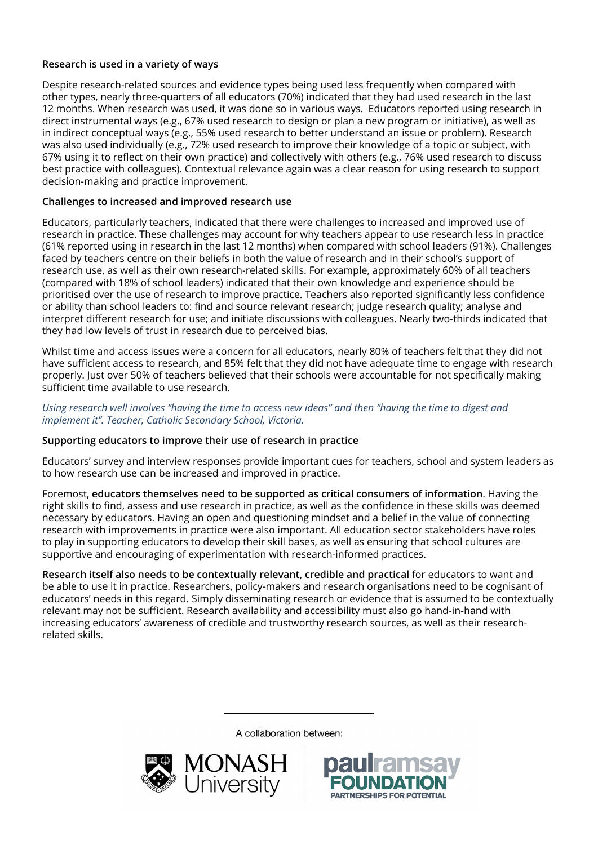## **Research is used in a variety of ways**

Despite research-related sources and evidence types being used less frequently when compared with other types, nearly three-quarters of all educators (70%) indicated that they had used research in the last 12 months. When research was used, it was done so in various ways. Educators reported using research in direct instrumental ways (e.g., 67% used research to design or plan a new program or initiative), as well as in indirect conceptual ways (e.g., 55% used research to better understand an issue or problem). Research was also used individually (e.g., 72% used research to improve their knowledge of a topic or subject, with 67% using it to reflect on their own practice) and collectively with others (e.g., 76% used research to discuss best practice with colleagues). Contextual relevance again was a clear reason for using research to support decision-making and practice improvement.

## **Challenges to increased and improved research use**

Educators, particularly teachers, indicated that there were challenges to increased and improved use of research in practice. These challenges may account for why teachers appear to use research less in practice (61% reported using in research in the last 12 months) when compared with school leaders (91%). Challenges faced by teachers centre on their beliefs in both the value of research and in their school's support of research use, as well as their own research-related skills. For example, approximately 60% of all teachers (compared with 18% of school leaders) indicated that their own knowledge and experience should be prioritised over the use of research to improve practice. Teachers also reported significantly less confidence or ability than school leaders to: find and source relevant research; judge research quality; analyse and interpret different research for use; and initiate discussions with colleagues. Nearly two-thirds indicated that they had low levels of trust in research due to perceived bias.

Whilst time and access issues were a concern for all educators, nearly 80% of teachers felt that they did not have sufficient access to research, and 85% felt that they did not have adequate time to engage with research properly. Just over 50% of teachers believed that their schools were accountable for not specifically making sufficient time available to use research.

#### *Using research well involves "having the time to access new ideas" and then "having the time to digest and implement it". Teacher, Catholic Secondary School, Victoria.*

### **Supporting educators to improve their use of research in practice**

Educators' survey and interview responses provide important cues for teachers, school and system leaders as to how research use can be increased and improved in practice.

Foremost, **educators themselves need to be supported as critical consumers of information**. Having the right skills to find, assess and use research in practice, as well as the confidence in these skills was deemed necessary by educators. Having an open and questioning mindset and a belief in the value of connecting research with improvements in practice were also important. All education sector stakeholders have roles to play in supporting educators to develop their skill bases, as well as ensuring that school cultures are supportive and encouraging of experimentation with research-informed practices.

**Research itself also needs to be contextually relevant, credible and practical** for educators to want and be able to use it in practice. Researchers, policy-makers and research organisations need to be cognisant of educators' needs in this regard. Simply disseminating research or evidence that is assumed to be contextually relevant may not be sufficient. Research availability and accessibility must also go hand-in-hand with increasing educators' awareness of credible and trustworthy research sources, as well as their researchrelated skills.

A collaboration between: